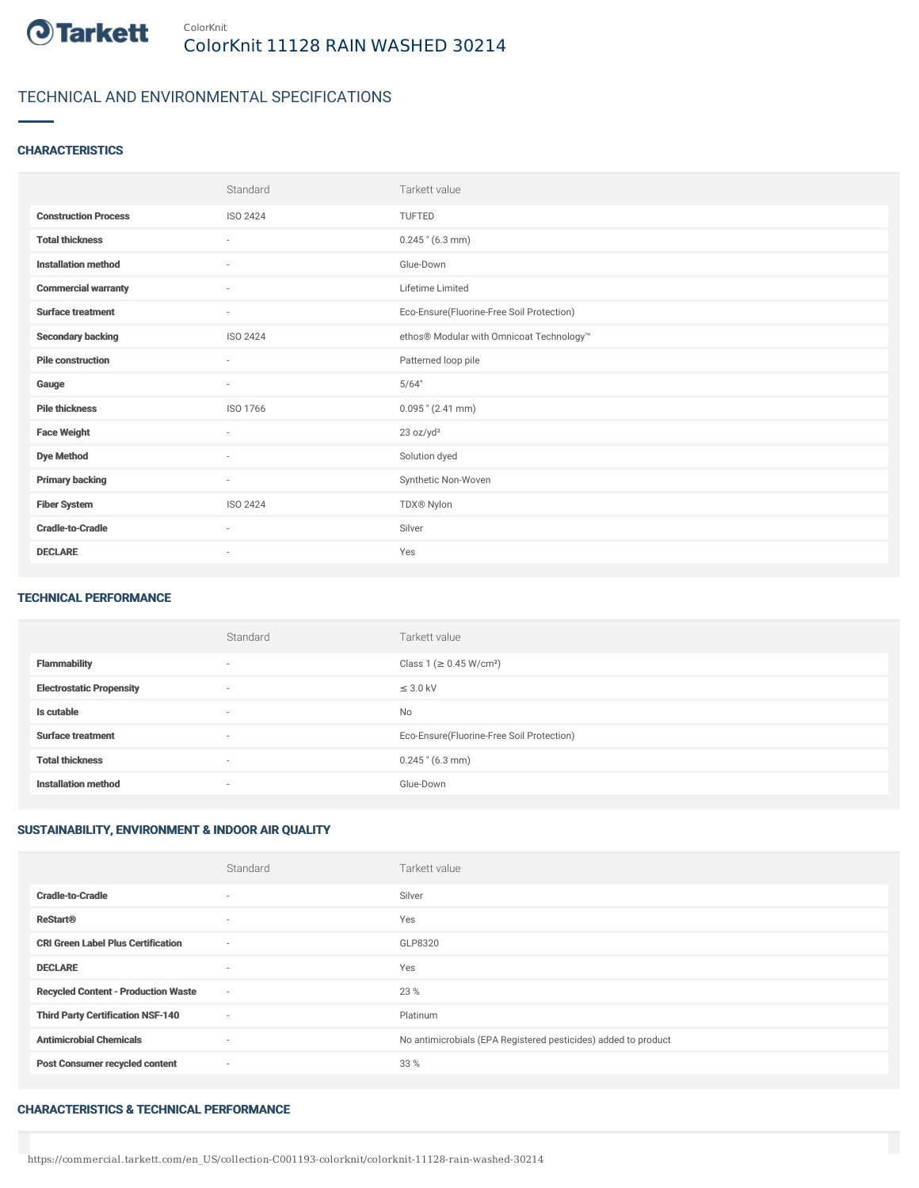

# TECHNICAL AND ENVIRONMENTAL SPECIFICATIONS

## **CHARACTERISTICS**

|                             | Standard                 | Tarkett value                             |
|-----------------------------|--------------------------|-------------------------------------------|
| <b>Construction Process</b> | <b>ISO 2424</b>          | <b>TUFTED</b>                             |
| <b>Total thickness</b>      | $\overline{\phantom{a}}$ | $0.245$ " (6.3 mm)                        |
| <b>Installation method</b>  | ×.                       | Glue-Down                                 |
| <b>Commercial warranty</b>  | ÷                        | Lifetime Limited                          |
| <b>Surface treatment</b>    | $\overline{\phantom{a}}$ | Eco-Ensure(Fluorine-Free Soil Protection) |
| <b>Secondary backing</b>    | <b>ISO 2424</b>          | ethos® Modular with Omnicoat Technology™  |
| <b>Pile construction</b>    | ٠                        | Patterned loop pile                       |
| Gauge                       | $\sim$                   | 5/64"                                     |
| <b>Pile thickness</b>       | ISO 1766                 | $0.095$ " (2.41 mm)                       |
| <b>Face Weight</b>          | ٠                        | 23 oz/yd <sup>2</sup>                     |
| <b>Dye Method</b>           | ٠                        | Solution dyed                             |
| <b>Primary backing</b>      | ٠                        | Synthetic Non-Woven                       |
| <b>Fiber System</b>         | <b>ISO 2424</b>          | TDX® Nylon                                |
| <b>Cradle-to-Cradle</b>     | ٠                        | Silver                                    |
| <b>DECLARE</b>              | $\overline{\phantom{a}}$ | Yes                                       |

#### TECHNICAL PERFORMANCE

|                                 | Standard                 | Tarkett value                             |
|---------------------------------|--------------------------|-------------------------------------------|
| <b>Flammability</b>             | $\overline{\phantom{a}}$ | Class 1 (≥ 0.45 W/cm <sup>2</sup> )       |
| <b>Electrostatic Propensity</b> | $\overline{\phantom{a}}$ | $\leq$ 3.0 kV                             |
| Is cutable                      | $\sim$                   | No                                        |
| <b>Surface treatment</b>        | $\sim$                   | Eco-Ensure(Fluorine-Free Soil Protection) |
| <b>Total thickness</b>          | $\overline{\phantom{a}}$ | $0.245$ " (6.3 mm)                        |
| <b>Installation method</b>      | $\overline{\phantom{a}}$ | Glue-Down                                 |

## SUSTAINABILITY, ENVIRONMENT & INDOOR AIR QUALITY

|                                            | Standard                 | Tarkett value                                                  |
|--------------------------------------------|--------------------------|----------------------------------------------------------------|
| <b>Cradle-to-Cradle</b>                    | $\overline{\phantom{a}}$ | Silver                                                         |
| <b>ReStart®</b>                            | $\overline{\phantom{a}}$ | Yes                                                            |
| <b>CRI Green Label Plus Certification</b>  | $\sim$                   | GLP8320                                                        |
| <b>DECLARE</b>                             | $\overline{\phantom{a}}$ | Yes                                                            |
| <b>Recycled Content - Production Waste</b> | $\sim$                   | 23 %                                                           |
| <b>Third Party Certification NSF-140</b>   | $\sim$                   | Platinum                                                       |
| <b>Antimicrobial Chemicals</b>             | $\overline{\phantom{a}}$ | No antimicrobials (EPA Registered pesticides) added to product |
| <b>Post Consumer recycled content</b>      | $\sim$                   | 33 %                                                           |

#### CHARACTERISTICS & TECHNICAL PERFORMANCE